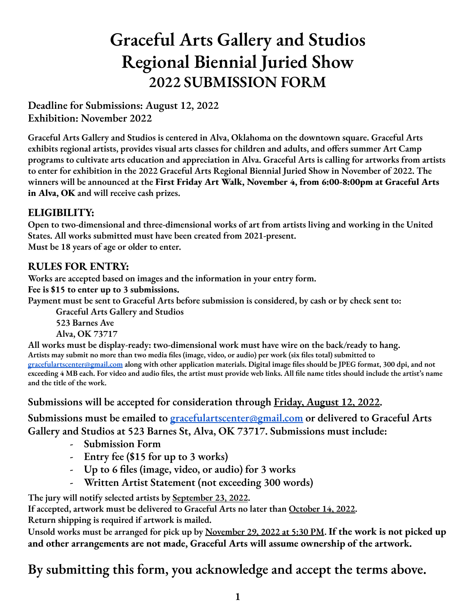# **Graceful Arts Gallery and Studios Regional Biennial Juried Show 2022 SUBMISSION FORM**

**Deadline for Submissions: August 12, 2022 Exhibition: November 2022**

**Graceful Arts Gallery and Studios is centered in Alva, Oklahoma on the downtown square. Graceful Arts exhibits regional artists, provides visual arts classes for children and adults, and offers summer Art Camp** programs to cultivate arts education and appreciation in Alva. Graceful Arts is calling for artworks from artists to enter for exhibition in the 2022 Graceful Arts Regional Biennial Juried Show in November of 2022. The **winners will be announced at the First Friday Art Walk, November 4, from 6:00-8:00pm at Graceful Arts in Alva, OK and will receive cash prizes.**

### **ELIGIBILITY:**

**Open to two-dimensional and three-dimensional works of art from artists living and working in the United States. All works submitted must have been created from 2021-present. Must be 18 years of age or older to enter.**

#### **RULES FOR ENTRY:**

**Works are accepted based on images and the information in your entry form.**

**Fee is \$15 to enter up to 3 submissions.**

Payment must be sent to Graceful Arts before submission is considered, by cash or by check sent to:

**Graceful Arts Gallery and Studios**

**523 Barnes Ave Alva, OK 73717**

**All works must be display-ready: two-dimensional work must have wire on the back/ready to hang.** Artists may submit no more than two media files (image, video, or audio) per work (six files total) submitted to [gracefulartscenter@gmail.com](mailto:gracefulartscenter@gmail.com) along with other application materials. Digital image files should be JPEG format, 300 dpi, and not exceeding 4 MB each. For video and audio files, the artist must provide web links. All file name titles should include the artist's name **and the title of the work.**

**Submissions will be accepted for consideration through Friday, August 12, 2022.**

**Submissions must be emailed to [gracefulartscenter@gmail.com](mailto:gracefulartscenter@gmail.com) or delivered to Graceful Arts Gallery and Studios at 523 Barnes St, Alva, OK 73717. Submissions must include:**

- **- Submission Form**
- **- Entry fee (\$15 for up to 3 works)**
- **- Up to 6 files (image, video, or audio) for 3 works**
- **- Written Artist Statement (not exceeding 300 words)**

**- The jury will notify selected artists by September 23, 2022.**

**If accepted, artwork must be delivered to Graceful Arts no later than October 14, 2022.**

**Return shipping is required if artwork is mailed.**

Unsold works must be arranged for pick up by November 29, 2022 at 5:30 PM. If the work is not picked up **and other arrangements are not made, Graceful Arts will assume ownership of the artwork.**

**By submitting this form, you acknowledge and accept the terms above.**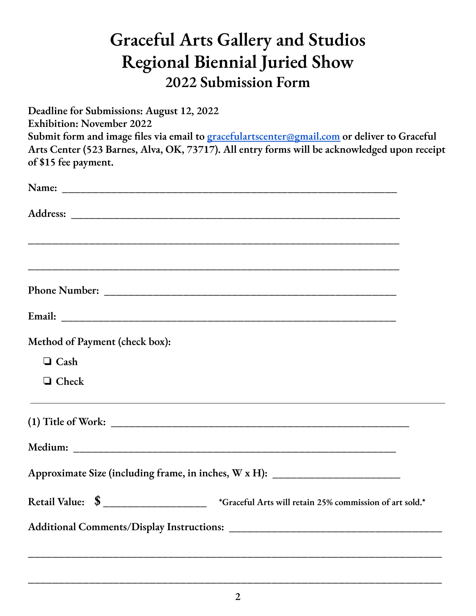## **Graceful Arts Gallery and Studios Regional Biennial Juried Show 2022 Submission Form**

**Deadline for Submissions: August 12, 2022 Exhibition: November 2022 Submit form and image files via email to [gracefulartscenter@gmail.com](mailto:gracefulartscenter@gmail.com) or deliver to Graceful Arts Center (523 Barnes, Alva, OK, 73717). All entry forms will be acknowledged upon receipt of \$15 fee payment.**

| Method of Payment (check box): |                                                                                                            |
|--------------------------------|------------------------------------------------------------------------------------------------------------|
| $\Box$ Cash                    |                                                                                                            |
| $\Box$ Check                   |                                                                                                            |
|                                |                                                                                                            |
|                                |                                                                                                            |
|                                | Approximate Size (including frame, in inches, W x H): __________________________                           |
|                                | Retail Value: $\quad \text{\$}$ __________________ *Graceful Arts will retain 25% commission of art sold.* |
|                                |                                                                                                            |
|                                |                                                                                                            |

**\_\_\_\_\_\_\_\_\_\_\_\_\_\_\_\_\_\_\_\_\_\_\_\_\_\_\_\_\_\_\_\_\_\_\_\_\_\_\_\_\_\_\_\_\_\_\_\_\_\_\_\_\_\_\_\_\_\_\_\_\_\_\_\_\_\_\_\_**